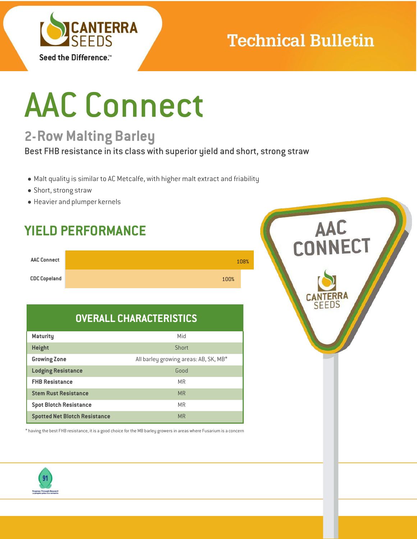

# **Technical Bulletin**

# AAC Connect

## **2-Row Malting Barley**

Best FHB resistance in its class with superior yield and short, strong straw

- Malt quality is similar to AC Metcalfe, with higher malt extract and friability
- Short, strong straw
- Heavier and plumper kernels

## **YIELD PERFORMANCE**

| <b>AAC Connect</b>  |      | 108% |
|---------------------|------|------|
| <b>CDC Copeland</b> | 100% |      |

## **OVERALL CHARACTERISTICS**

| <b>Maturity</b>                      | Mid                                   |
|--------------------------------------|---------------------------------------|
| <b>Height</b>                        | Short                                 |
| <b>Growing Zone</b>                  | All barley growing areas: AB, SK, MB* |
| <b>Lodging Resistance</b>            | Good                                  |
| <b>FHB Resistance</b>                | <b>MR</b>                             |
| <b>Stem Rust Resistance</b>          | <b>MR</b>                             |
| <b>Spot Blotch Resistance</b>        | <b>MR</b>                             |
| <b>Spotted Net Blotch Resistance</b> | <b>MR</b>                             |

 $*$  having the best FHB resistance, it is a good choice for the MB barley growers in areas where Fusarium is a concern